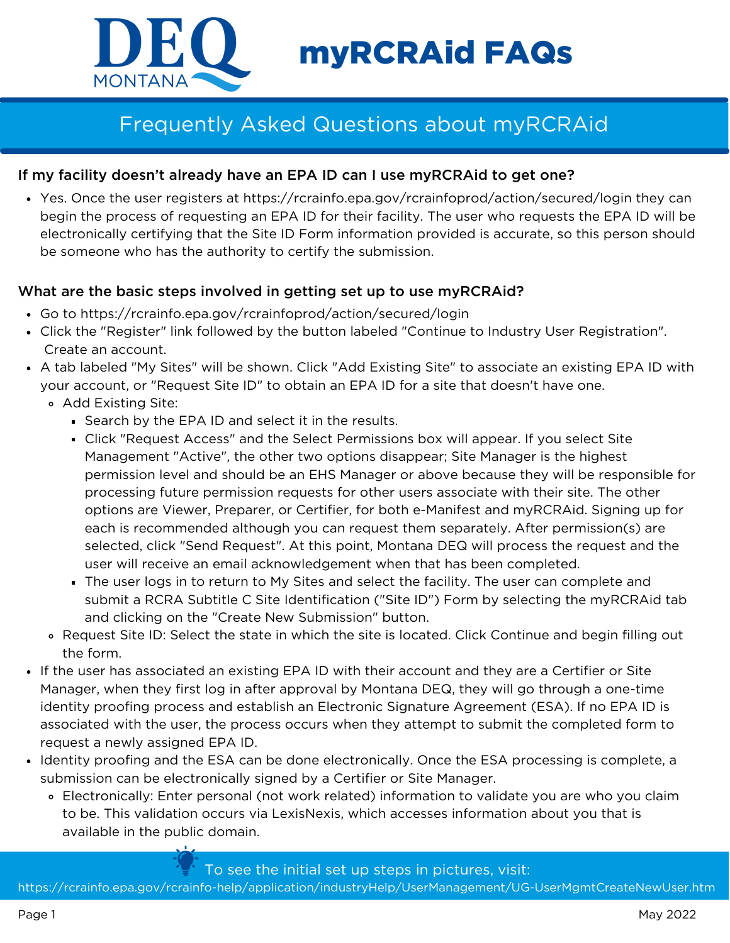

# myRCRAid FAQs

# Frequently Asked Questions about myRCRAid

# If my facility doesn't already have an EPA ID can I use myRCRAid to get one?

Yes. Once the user registers at https://rcrainfo.epa.gov/rcrainfoprod/action/secured/login they can begin the process of requesting an EPA ID for their facility. The user who requests the EPA ID will be electronically certifying that the Site ID Form information provided is accurate, so this person should be someone who has the authority to certify the submission.

### What are the basic steps involved in getting set up to use myRCRAid?

- Go to https://rcrainfo.epa.gov/rcrainfoprod/action/secured/login
- Click the "Register" link followed by the button labeled "Continue to Industry User Registration". Create an account.
- A tab labeled "My Sites" will be shown. Click "Add Existing Site" to associate an existing EPA ID with your account, or "Request Site ID" to obtain an EPA ID for a site that doesn't have one.
	- Add Existing Site:
		- Search by the EPA ID and select it in the results.
		- Click "Request Access" and the Select Permissions box will appear. If you select Site Management "Active", the other two options disappear; Site Manager is the highest permission level and should be an EHS Manager or above because they will be responsible for processing future permission requests for other users associate with their site. The other options are Viewer, Preparer, or Certifier, for both e-Manifest and myRCRAid. Signing up for each is recommended although you can request them separately. After permission(s) are selected, click "Send Request". At this point, Montana DEQ will process the request and the user will receive an email acknowledgement when that has been completed.
		- The user logs in to return to My Sites and select the facility. The user can complete and submit a RCRA Subtitle C Site Identification ("Site ID") Form by selecting the myRCRAid tab and clicking on the "Create New Submission" button.
	- Request Site ID: Select the state in which the site is located. Click Continue and begin filling out the form.
- If the user has associated an existing EPA ID with their account and they are a Certifier or Site Manager, when they first log in after approval by Montana DEQ, they will go through a one-time identity proofing process and establish an Electronic Signature Agreement (ESA). If no EPA ID is associated with the user, the process occurs when they attempt to submit the completed form to request a newly assigned EPA ID.
- Identity proofing and the ESA can be done electronically. Once the ESA processing is complete, a submission can be electronically signed by a Certifier or Site Manager.
	- Electronically: Enter personal (not work related) information to validate you are who you claim to be. This validation occurs via LexisNexis, which accesses information about you that is available in the public domain.

#### To see the initial set up steps in pictures, visit:

https://rcrainfo.epa.gov/rcrainfo-help/application/industryHelp/UserManagement/UG-UserMgmtCreateNewUser.htm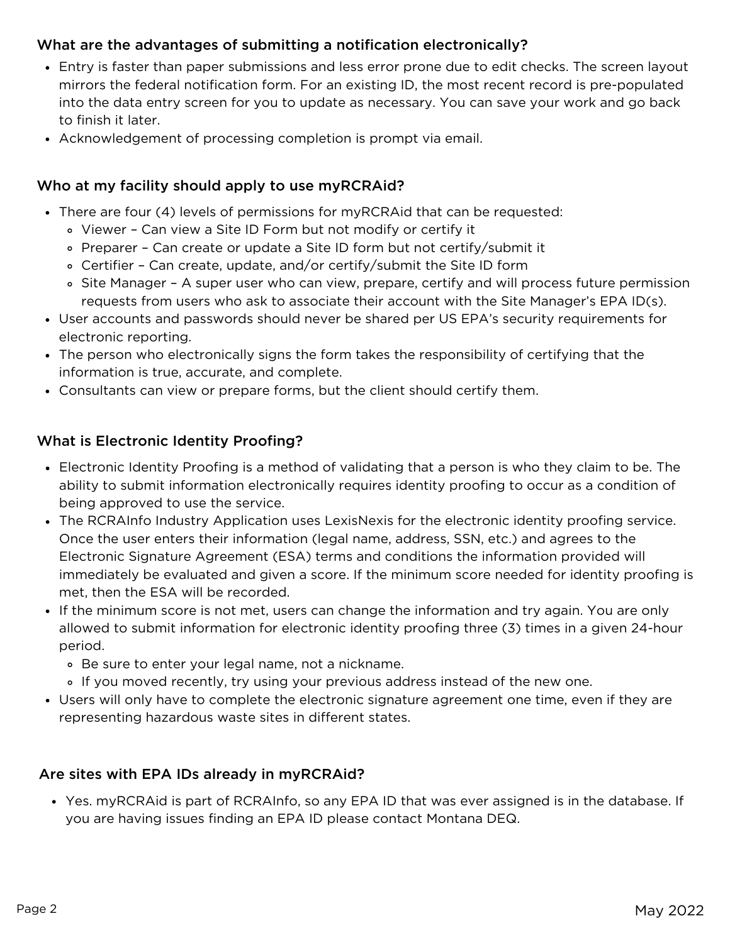# What are the advantages of submitting a notification electronically?

- Entry is faster than paper submissions and less error prone due to edit checks. The screen layout mirrors the federal notification form. For an existing ID, the most recent record is pre-populated into the data entry screen for you to update as necessary. You can save your work and go back to finish it later.
- Acknowledgement of processing completion is prompt via email.

# Who at my facility should apply to use myRCRAid?

- There are four (4) levels of permissions for myRCRAid that can be requested:
	- Viewer Can view a Site ID Form but not modify or certify it
	- Preparer Can create or update a Site ID form but not certify/submit it
	- Certifier Can create, update, and/or certify/submit the Site ID form
	- o Site Manager A super user who can view, prepare, certify and will process future permission requests from users who ask to associate their account with the Site Manager's EPA ID(s).
- User accounts and passwords should never be shared per US EPA's security requirements for electronic reporting.
- The person who electronically signs the form takes the responsibility of certifying that the information is true, accurate, and complete.
- Consultants can view or prepare forms, but the client should certify them.

# What is Electronic Identity Proofing?

- Electronic Identity Proofing is a method of validating that a person is who they claim to be. The ability to submit information electronically requires identity proofing to occur as a condition of being approved to use the service.
- The RCRAInfo Industry Application uses LexisNexis for the electronic identity proofing service. Once the user enters their information (legal name, address, SSN, etc.) and agrees to the Electronic Signature Agreement (ESA) terms and conditions the information provided will immediately be evaluated and given a score. If the minimum score needed for identity proofing is met, then the ESA will be recorded.
- If the minimum score is not met, users can change the information and try again. You are only allowed to submit information for electronic identity proofing three (3) times in a given 24-hour period.
	- Be sure to enter your legal name, not a nickname.
	- If you moved recently, try using your previous address instead of the new one.
- Users will only have to complete the electronic signature agreement one time, even if they are representing hazardous waste sites in different states.

# Are sites with EPA IDs already in myRCRAid?

Yes. myRCRAid is part of RCRAInfo, so any EPA ID that was ever assigned is in the database. If you are having issues finding an EPA ID please contact Montana DEQ.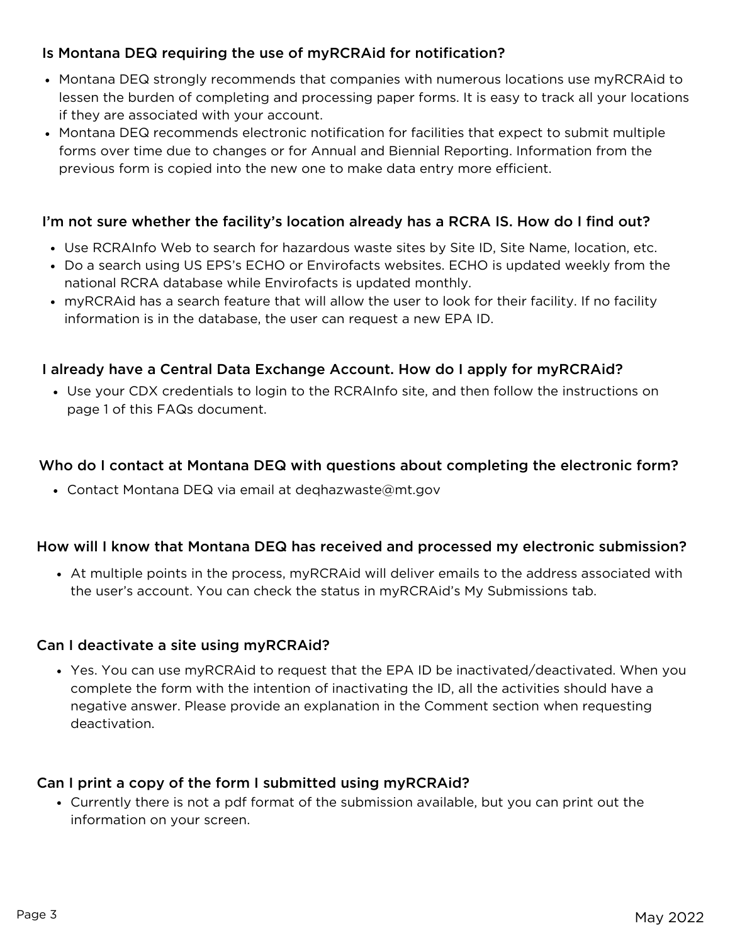# Is Montana DEQ requiring the use of myRCRAid for notification?

- Montana DEQ strongly recommends that companies with numerous locations use myRCRAid to lessen the burden of completing and processing paper forms. It is easy to track all your locations if they are associated with your account.
- Montana DEQ recommends electronic notification for facilities that expect to submit multiple forms over time due to changes or for Annual and Biennial Reporting. Information from the previous form is copied into the new one to make data entry more efficient.

## I'm not sure whether the facility's location already has a RCRA IS. How do I find out?

- Use RCRAInfo Web to search for hazardous waste sites by Site ID, Site Name, location, etc.
- Do a search using US EPS's ECHO or Envirofacts websites. ECHO is updated weekly from the national RCRA database while Envirofacts is updated monthly.
- myRCRAid has a search feature that will allow the user to look for their facility. If no facility information is in the database, the user can request a new EPA ID.

### I already have a Central Data Exchange Account. How do I apply for myRCRAid?

Use your CDX credentials to login to the RCRAInfo site, and then follow the instructions on page 1 of this FAQs document.

#### Who do I contact at Montana DEQ with questions about completing the electronic form?

Contact Montana DEQ via email at deqhazwaste@mt.gov

#### How will I know that Montana DEQ has received and processed my electronic submission?

At multiple points in the process, myRCRAid will deliver emails to the address associated with the user's account. You can check the status in myRCRAid's My Submissions tab.

#### Can I deactivate a site using myRCRAid?

Yes. You can use myRCRAid to request that the EPA ID be inactivated/deactivated. When you complete the form with the intention of inactivating the ID, all the activities should have a negative answer. Please provide an explanation in the Comment section when requesting deactivation.

#### Can I print a copy of the form I submitted using myRCRAid?

Currently there is not a pdf format of the submission available, but you can print out the information on your screen.